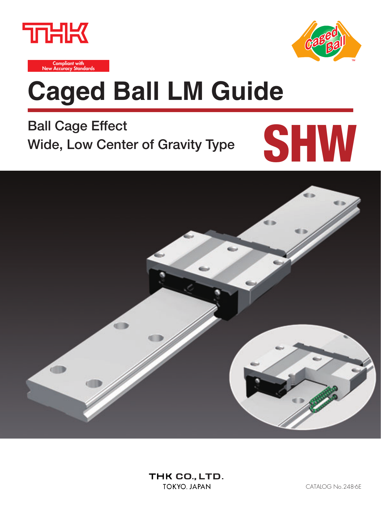



#### **Compliant with New Accuracy Standards**

# **Caged Ball LM Guide**

**Ball Cage Effect Wide, Low Center of Gravity Type**



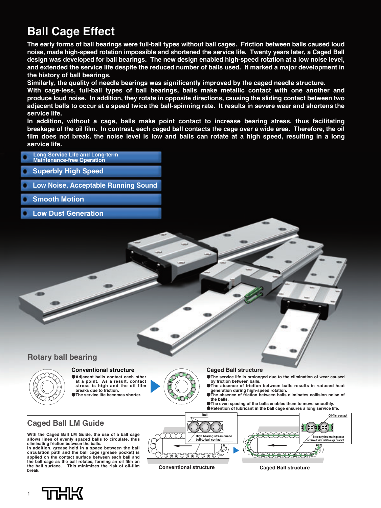# **Ball Cage Effect**

**The early forms of ball bearings were full-ball types without ball cages. Friction between balls caused loud noise, made high-speed rotation impossible and shortened the service life. Twenty years later, a Caged Ball design was developed for ball bearings. The new design enabled high-speed rotation at a low noise level, and extended the service life despite the reduced number of balls used. It marked a major development in the history of ball bearings.** 

**Similarly, the quality of needle bearings was significantly improved by the caged needle structure.**

**With cage-less, full-ball types of ball bearings, balls make metallic contact with one another and produce loud noise. In addition, they rotate in opposite directions, causing the sliding contact between two adjacent balls to occur at a speed twice the ball-spinning rate. It results in severe wear and shortens the service life.** 

**In addition, without a cage, balls make point contact to increase bearing stress, thus facilitating breakage of the oil film. In contrast, each caged ball contacts the cage over a wide area. Therefore, the oil film does not break, the noise level is low and balls can rotate at a high speed, resulting in a long service life.**

- **Long Service Life and Long-term Maintenance-free Operation Superbly High Speed Low Noise, Acceptable Running Sound Smooth Motion**
- **Low Dust Generation**

### **Rotary ball bearing**



#### **Conventional structure**

●**Adjacent balls contact each other at a point. As a result, contact stress is high and the oil film breaks due to friction.** ●**The service life becomes shorter.**

#### **Caged Ball structure**

- ●**The service life is prolonged due to the elimination of wear caused by friction between balls. OThe absence of friction between balls results in reduced heat**
- **generation during high-speed rotation.** ●**The absence of friction between balls eliminates collision noise of**
- **the balls.** ●**The even spacing of the balls enables them to move smoothly.**
- ●**Retention of lubricant in the ball cage ensures a long service life.**

### **Caged Ball LM Guide**

**With the Caged Ball LM Guide, the use of a ball cage allows lines of evenly spaced balls to circulate, thus eliminating friction between the balls. In addition, grease held in a space between the ball circulation path and the ball cage (grease pocket) is applied on the contact surface between each ball and the ball cage as the ball rotates, forming an oil film on the ball surface. This minimizes the risk of oil-film break.**



**Conventional structure Caged Ball structure**

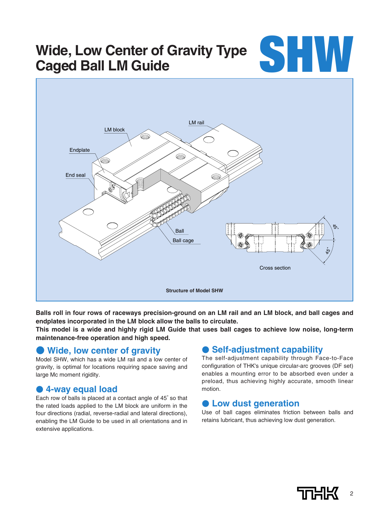# **Wide, Low Center of Gravity Type** Wide, Low Center of Gravity Type **SHW**<br>Caged Ball LM Guide



**Balls roll in four rows of raceways precision-ground on an LM rail and an LM block, and ball cages and endplates incorporated in the LM block allow the balls to circulate.** 

**This model is a wide and highly rigid LM Guide that uses ball cages to achieve low noise, long-term maintenance-free operation and high speed.**

### ● **Wide, low center of gravity**

Model SHW, which has a wide LM rail and a low center of gravity, is optimal for locations requiring space saving and large Mc moment rigidity.

### ● **4-way equal load**

Each row of balls is placed at a contact angle of 45°so that the rated loads applied to the LM block are uniform in the four directions (radial, reverse-radial and lateral directions), enabling the LM Guide to be used in all orientations and in extensive applications.

### ● **Self-adjustment capability**

The self-adjustment capability through Face-to-Face configuration of THK's unique circular-arc grooves (DF set) enables a mounting error to be absorbed even under a preload, thus achieving highly accurate, smooth linear motion.

### ● **Low dust generation**

Use of ball cages eliminates friction between balls and retains lubricant, thus achieving low dust generation.

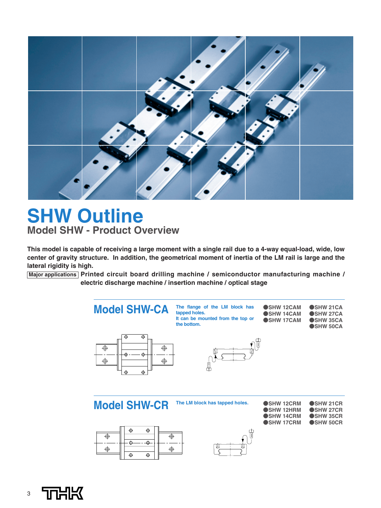

# **SHW Outline Model SHW - Product Overview**

**This model is capable of receiving a large moment with a single rail due to a 4-way equal-load, wide, low center of gravity structure. In addition, the geometrical moment of inertia of the LM rail is large and the lateral rigidity is high.**

**Major applications Printed circuit board drilling machine / semiconductor manufacturing machine / electric discharge machine / insertion machine / optical stage**



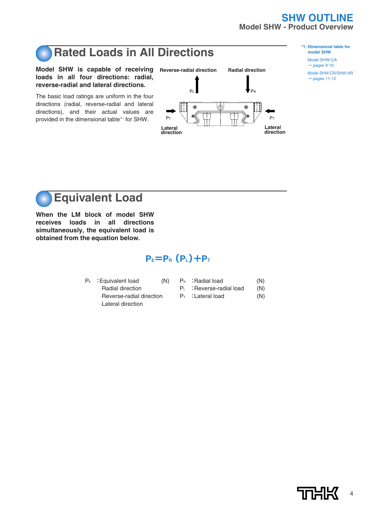### **SHW OUTLINE Model SHW - Product Overview**

# **Rated Loads in All Directions**

**Model SHW is capable of receiving Reverse-radial direction Radial direction loads in all four directions: radial, reverse-radial and lateral directions.**

The basic load ratings are uniform in the four directions (radial, reverse-radial and lateral directions), and their actual values are provided in the dimensional table\*1 for SHW.

|                      | P <sub>L</sub> |  |         | $\blacktriangledown_{\mathsf{PR}}$ |                      |  |
|----------------------|----------------|--|---------|------------------------------------|----------------------|--|
| P <sub>T</sub>       | ۵              |  | ٥<br>lе |                                    | P <sub>T</sub>       |  |
| Lateral<br>direction |                |  |         |                                    | Lateral<br>direction |  |

**\*1: Dimensional table for model SHW**

> Model SHW-CA  $\rightarrow$  pages 9-10

Model SHW-CR/SHW-HR  $\rightarrow$  pages 11-12

**Equivalent Load**

**When the LM block of model SHW receives loads in all directions simultaneously, the equivalent load is obtained from the equation below.**

## **PE=PR(PL)+PT**

- $P<sub>E</sub>$  : Equivalent load  $(N)$ ⋅Radial direction
	- ⋅Reverse-radial direction ⋅Lateral direction
- $P_{R}$  : Radial load (N)
- P<sub>L</sub> : Reverse-radial load (N)
- $P_T$  : Lateral load  $(N)$

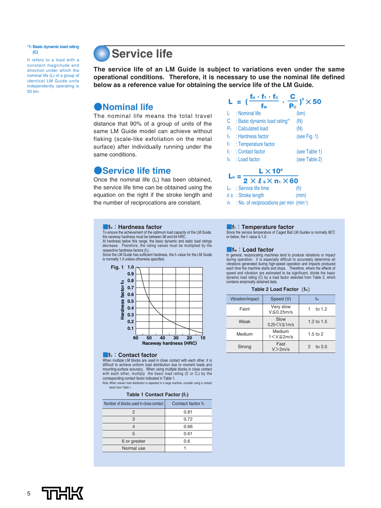**\*1: Basic dynamic load rating (C)**

It refers to a load with a constant magnitude and direction under which the nominal life (L) of a group of identical LM Guide units independently operating is 50 km.

# **Service life**

**The service life of an LM Guide is subject to variations even under the same operational conditions. Therefore, it is necessary to use the nominal life defined below as a reference value for obtaining the service life of the LM Guide.** 

### ●**Nominal life**

The nominal life means the total travel distance that 90% of a group of units of the same LM Guide model can achieve without flaking (scale-like exfoliation on the metal surface) after individually running under the same conditions.

### ●**Service life time**

Once the nominal life (L) has been obtained, the service life time can be obtained using the equation on the right if the stroke length and the number of reciprocations are constant.



| $2 \times l_s \times n_1 \times 60$                        |      |
|------------------------------------------------------------|------|
| $Lh$ : Service life time                                   | (h)  |
| $\ell$ s: Stroke length                                    | (mm) |
| $n_1$ : No. of reciprocations per min (min <sup>-1</sup> ) |      |

**The**: Hardness factor To ensure the achievement of the optimum load capacity of the LM Guide, the raceway hardness must be between 58 and 64 HRC. At hardness below this range, the basic dynamic and static load ratings decrease. Therefore, the rating values must be multiplied by the

respective hardness factors (fн).<br>Since the LM Guide has sufficient hardness, the fн value for the LM Guide is normally 1.0 unless otherwise specified.



#### ■**fc: Contact factor**

When multiple LM blocks are used in close contact with each other, it is difficult to achieve uniform load distribution due to moment loads and mounting-surface accuracy. When using multiple blocks in close contact with each other, multiply the basic load rating (C or  $Co$ ) by the corresponding contact factor indicated in Table 1.

Note: When uneven load distribution is expected in a large machine, consider using a contact factor from Table 1.

#### **Table 1 Contact Factor (fc)**

| Number of blocks used in close contact | Contact factor fc |
|----------------------------------------|-------------------|
| 2                                      | 0.81              |
| З                                      | 0.72              |
|                                        | 0.66              |
| 5                                      | 0.61              |
| 6 or greater                           | 0.6               |
| Normal use                             |                   |

#### ■**f**<sub>T</sub>: Temperature factor

Since the service temperature of Caged Ball LM Guides is normally 80°C or below, the  $f<sub>T</sub>$  value is 1.0.

#### ■**fW**:**Load factor**

In general, reciprocating machines tend to produce vibrations or impact during operation. It is especially difficult to accurately determine all vibrations generated during high-speed operation and impacts produced each time the machine starts and stops. Therefore, where the effects of speed and vibration are estimated to be significant, divide the basic dynamic load rating (C) by a load factor selected from Table 2, which contains empirically obtained data.

#### Table 2 Load Factor (fw)

| Vibration/impact | Speed (V)                      | fw                         |
|------------------|--------------------------------|----------------------------|
| Faint            | Very slow<br>$V \leq 0.25$ m/s | to $1.2$                   |
| Weak             | Slow<br>$0.25 < V \le 1$ m/s   | 1.2 to $1.5$               |
| Medium           | Medium<br>$1 < V \leq 2m/s$    | $1.5$ to $2$               |
| Strong           | Fast<br>V > 2m/s               | to $3.5$<br>$\mathfrak{p}$ |

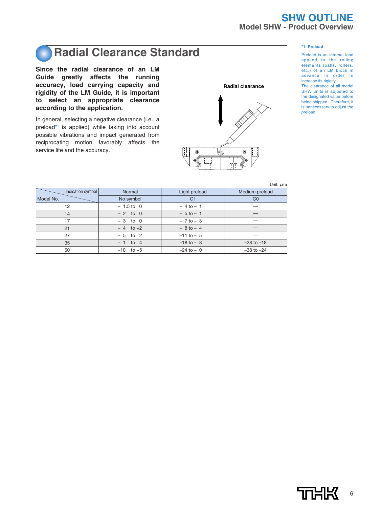# **Radial Clearance Standard**

**Since the radial clearance of an LM Guide greatly affects the running accuracy, load carrying capacity and rigidity of the LM Guide, it is important to select an appropriate clearance according to the application.**

In general, selecting a negative clearance (i.e., a preload\*1 is applied) while taking into account possible vibrations and impact generated from reciprocating motion favorably affects the service life and the accuracy.



#### **\*1: Preload**

Preload is an internal load applied to the rolling elements (balls, rollers, etc.) of an LM block in advance in order to increase its rigidity. The clearance of all model SHW units is adjusted to the designated value before being shipped. Therefore, it is unnecessary to adjust the preload.

Unit: μm

| Indication symbol | Normal        | Light preload  | Medium preload |
|-------------------|---------------|----------------|----------------|
| Model No.         | No symbol     | C <sub>1</sub> | C <sub>0</sub> |
| 12                | $-1.5$ to 0   | $-4$ to $-1$   |                |
| 14                | $-2$ to 0     | $-5$ to $-1$   |                |
| 17                | $-3$ to $0$   | $-7$ to $-3$   |                |
| 21                | $-4$ to $+2$  | $-8$ to $-4$   |                |
| 27                | $-5$ to $+2$  | $-11$ to $-5$  |                |
| 35                | $-1$ to $+4$  | $-18$ to $-8$  | $-28$ to $-18$ |
| 50                | $-10$ to $+5$ | $-24$ to $-10$ | $-38$ to $-24$ |

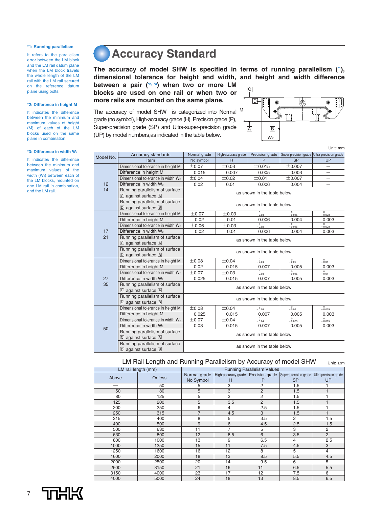#### **\*1: Running parallelism**

It refers to the parallelism error between the LM block and the LM rail datum plane when the LM block travels the whole length of the LM rail with the LM rail secured on the reference datum plane using bolts.

#### **\*2: Difference in height M**

It indicates the difference between the minimum and maximum values of height (M) of each of the LM blocks used on the same plane in combination.

#### **\*3: Difference in width W**<sub>2</sub>

It indicates the difference between the minimum and maximum values of the width  $(W_2)$  between each of the LM blocks, mounted on one LM rail in combination, and the LM rail.

# **Accuracy Standard**

**The accuracy of model SHW is specified in terms of running parallelism (\*1), dimensional tolerance for height and width, and height and width difference**

between a pair ( $2, 3$ ) when two or more LM **blocks are used on one rail or when two or more rails are mounted on the same plane.**

The accuracy of model SHW is categorized into Normal <sup>M</sup> grade (no symbol), High-accuracy grade (H), Precision grade (P), Super-precision grade (SP) and Ultra-super-precision grade (UP) by model numbers,as indicated in the table below.



Unit: mm

| Model No. | Accuracy standards                                    | Normal grade | High-accuracy grade                                                                                                                                                                                                                                                                                                                                                                                                                                                                                                                                                                                                                                                                                                                                                                                                                                                                                                                                                                                                                                                                        | Precision grade | Super precision grade | Ultra precision grade      |  |  |  |  |  |  |
|-----------|-------------------------------------------------------|--------------|--------------------------------------------------------------------------------------------------------------------------------------------------------------------------------------------------------------------------------------------------------------------------------------------------------------------------------------------------------------------------------------------------------------------------------------------------------------------------------------------------------------------------------------------------------------------------------------------------------------------------------------------------------------------------------------------------------------------------------------------------------------------------------------------------------------------------------------------------------------------------------------------------------------------------------------------------------------------------------------------------------------------------------------------------------------------------------------------|-----------------|-----------------------|----------------------------|--|--|--|--|--|--|
|           | Item                                                  | No symbol    | P<br><b>SP</b><br>H<br>±0.015<br>±0.07<br>±0.03<br>±0.007<br>0.015<br>0.007<br>0.005<br>0.003<br>±0.04<br>±0.02<br>±0.01<br>±0.007<br>0.02<br>0.01<br>0.006<br>0.004<br>as shown in the table below<br>as shown in the table below<br>$\Omega$<br>$\circ$<br>±0.07<br>±0.03<br>$-0.03$<br>$-0.015$<br>0.02<br>0.01<br>0.006<br>0.004<br>$\overline{0}$<br>$\overline{0}$<br>±0.06<br>±0.03<br>$-0.02$<br>$-0.015$<br>0.01<br>0.006<br>0.004<br>0.02<br>as shown in the table below<br>as shown in the table below<br>$\frac{0}{-0.04}$<br>$\frac{0}{-0.02}$<br>±0.08<br>±0.04<br>0.007<br>0.02<br>0.015<br>0.005<br>$\overline{0}$<br>$\overline{0}$<br>±0.07<br>±0.03<br>$-0.03$<br>$-0.015$<br>0.015<br>0.025<br>0.007<br>0.005<br>as shown in the table below<br>as shown in the table below<br>$\overline{0}$<br>$\mathbf 0$<br>±0.08<br>±0.04<br>$-0.05$<br>$-0.03$<br>0.025<br>0.015<br>0.007<br>0.005<br>$\overline{0}$<br>$\overline{0}$<br>±0.07<br>±0.04<br>$-0.04$<br>$-0.025$<br>0.007<br>0.03<br>0.015<br>0.005<br>as shown in the table below<br>as shown in the table below | UP              |                       |                            |  |  |  |  |  |  |
|           | Dimensional tolerance in height M                     |              |                                                                                                                                                                                                                                                                                                                                                                                                                                                                                                                                                                                                                                                                                                                                                                                                                                                                                                                                                                                                                                                                                            |                 |                       |                            |  |  |  |  |  |  |
|           | Difference in height M                                |              |                                                                                                                                                                                                                                                                                                                                                                                                                                                                                                                                                                                                                                                                                                                                                                                                                                                                                                                                                                                                                                                                                            |                 |                       | —                          |  |  |  |  |  |  |
|           | Dimensional tolerance in width W <sub>2</sub>         |              |                                                                                                                                                                                                                                                                                                                                                                                                                                                                                                                                                                                                                                                                                                                                                                                                                                                                                                                                                                                                                                                                                            |                 |                       |                            |  |  |  |  |  |  |
| 12        | Difference in width W <sub>2</sub>                    |              |                                                                                                                                                                                                                                                                                                                                                                                                                                                                                                                                                                                                                                                                                                                                                                                                                                                                                                                                                                                                                                                                                            |                 |                       |                            |  |  |  |  |  |  |
| 14        | Running parallelism of surface                        |              |                                                                                                                                                                                                                                                                                                                                                                                                                                                                                                                                                                                                                                                                                                                                                                                                                                                                                                                                                                                                                                                                                            |                 |                       |                            |  |  |  |  |  |  |
|           | $\boxed{\text{C}}$ against surface $\boxed{\text{A}}$ |              |                                                                                                                                                                                                                                                                                                                                                                                                                                                                                                                                                                                                                                                                                                                                                                                                                                                                                                                                                                                                                                                                                            |                 |                       |                            |  |  |  |  |  |  |
|           | Running parallelism of surface                        |              |                                                                                                                                                                                                                                                                                                                                                                                                                                                                                                                                                                                                                                                                                                                                                                                                                                                                                                                                                                                                                                                                                            |                 |                       |                            |  |  |  |  |  |  |
|           | $\overline{D}$ against surface $\overline{B}$         |              |                                                                                                                                                                                                                                                                                                                                                                                                                                                                                                                                                                                                                                                                                                                                                                                                                                                                                                                                                                                                                                                                                            |                 |                       |                            |  |  |  |  |  |  |
|           | Dimensional tolerance in height M                     |              |                                                                                                                                                                                                                                                                                                                                                                                                                                                                                                                                                                                                                                                                                                                                                                                                                                                                                                                                                                                                                                                                                            |                 |                       | $\overline{0}$<br>$-0.008$ |  |  |  |  |  |  |
|           | Difference in height M                                |              |                                                                                                                                                                                                                                                                                                                                                                                                                                                                                                                                                                                                                                                                                                                                                                                                                                                                                                                                                                                                                                                                                            |                 |                       | 0.003                      |  |  |  |  |  |  |
| 17<br>21  | Dimensional tolerance in width W <sub>2</sub>         |              |                                                                                                                                                                                                                                                                                                                                                                                                                                                                                                                                                                                                                                                                                                                                                                                                                                                                                                                                                                                                                                                                                            |                 |                       | $\overline{0}$<br>$-0.008$ |  |  |  |  |  |  |
|           | Difference in width W <sub>2</sub>                    |              |                                                                                                                                                                                                                                                                                                                                                                                                                                                                                                                                                                                                                                                                                                                                                                                                                                                                                                                                                                                                                                                                                            |                 |                       | 0.003                      |  |  |  |  |  |  |
|           | Running parallelism of surface                        |              |                                                                                                                                                                                                                                                                                                                                                                                                                                                                                                                                                                                                                                                                                                                                                                                                                                                                                                                                                                                                                                                                                            |                 |                       |                            |  |  |  |  |  |  |
|           | $\boxed{\circ}$ against surface $\boxed{\circ}$       |              |                                                                                                                                                                                                                                                                                                                                                                                                                                                                                                                                                                                                                                                                                                                                                                                                                                                                                                                                                                                                                                                                                            |                 |                       |                            |  |  |  |  |  |  |
|           | Running parallelism of surface                        |              |                                                                                                                                                                                                                                                                                                                                                                                                                                                                                                                                                                                                                                                                                                                                                                                                                                                                                                                                                                                                                                                                                            |                 |                       |                            |  |  |  |  |  |  |
|           | $\boxed{D}$ against surface $\boxed{B}$               |              |                                                                                                                                                                                                                                                                                                                                                                                                                                                                                                                                                                                                                                                                                                                                                                                                                                                                                                                                                                                                                                                                                            |                 |                       |                            |  |  |  |  |  |  |
|           | Dimensional tolerance in height M                     |              |                                                                                                                                                                                                                                                                                                                                                                                                                                                                                                                                                                                                                                                                                                                                                                                                                                                                                                                                                                                                                                                                                            |                 |                       | $\frac{0}{-0.01}$          |  |  |  |  |  |  |
|           | Difference in height M                                |              |                                                                                                                                                                                                                                                                                                                                                                                                                                                                                                                                                                                                                                                                                                                                                                                                                                                                                                                                                                                                                                                                                            |                 |                       | 0.003                      |  |  |  |  |  |  |
|           | Dimensional tolerance in width W <sub>2</sub>         |              |                                                                                                                                                                                                                                                                                                                                                                                                                                                                                                                                                                                                                                                                                                                                                                                                                                                                                                                                                                                                                                                                                            |                 |                       | $\overline{0}$<br>$-0.01$  |  |  |  |  |  |  |
| 27        | Difference in width W <sub>2</sub>                    |              |                                                                                                                                                                                                                                                                                                                                                                                                                                                                                                                                                                                                                                                                                                                                                                                                                                                                                                                                                                                                                                                                                            |                 |                       | 0.003                      |  |  |  |  |  |  |
| 35        | Running parallelism of surface                        |              |                                                                                                                                                                                                                                                                                                                                                                                                                                                                                                                                                                                                                                                                                                                                                                                                                                                                                                                                                                                                                                                                                            |                 |                       |                            |  |  |  |  |  |  |
|           | $\boxed{C}$ against surface $\boxed{A}$               |              |                                                                                                                                                                                                                                                                                                                                                                                                                                                                                                                                                                                                                                                                                                                                                                                                                                                                                                                                                                                                                                                                                            |                 |                       |                            |  |  |  |  |  |  |
|           | Running parallelism of surface                        |              |                                                                                                                                                                                                                                                                                                                                                                                                                                                                                                                                                                                                                                                                                                                                                                                                                                                                                                                                                                                                                                                                                            |                 |                       |                            |  |  |  |  |  |  |
|           | $\boxed{D}$ against surface $\boxed{B}$               |              |                                                                                                                                                                                                                                                                                                                                                                                                                                                                                                                                                                                                                                                                                                                                                                                                                                                                                                                                                                                                                                                                                            |                 |                       |                            |  |  |  |  |  |  |
|           | Dimensional tolerance in height M                     |              |                                                                                                                                                                                                                                                                                                                                                                                                                                                                                                                                                                                                                                                                                                                                                                                                                                                                                                                                                                                                                                                                                            |                 |                       | $\overline{0}$<br>$-0.015$ |  |  |  |  |  |  |
|           | Difference in height M                                |              |                                                                                                                                                                                                                                                                                                                                                                                                                                                                                                                                                                                                                                                                                                                                                                                                                                                                                                                                                                                                                                                                                            |                 |                       | 0.003                      |  |  |  |  |  |  |
|           | Dimensional tolerance in width W <sub>2</sub>         |              |                                                                                                                                                                                                                                                                                                                                                                                                                                                                                                                                                                                                                                                                                                                                                                                                                                                                                                                                                                                                                                                                                            |                 |                       | $\overline{0}$<br>$-0.015$ |  |  |  |  |  |  |
| 50        | Difference in width W <sub>2</sub>                    |              |                                                                                                                                                                                                                                                                                                                                                                                                                                                                                                                                                                                                                                                                                                                                                                                                                                                                                                                                                                                                                                                                                            |                 |                       | 0.003                      |  |  |  |  |  |  |
|           | Running parallelism of surface                        |              |                                                                                                                                                                                                                                                                                                                                                                                                                                                                                                                                                                                                                                                                                                                                                                                                                                                                                                                                                                                                                                                                                            |                 |                       |                            |  |  |  |  |  |  |
|           | $\boxed{\circ}$ against surface $\boxed{\circ}$       |              |                                                                                                                                                                                                                                                                                                                                                                                                                                                                                                                                                                                                                                                                                                                                                                                                                                                                                                                                                                                                                                                                                            |                 |                       |                            |  |  |  |  |  |  |
|           | Running parallelism of surface                        |              |                                                                                                                                                                                                                                                                                                                                                                                                                                                                                                                                                                                                                                                                                                                                                                                                                                                                                                                                                                                                                                                                                            |                 |                       |                            |  |  |  |  |  |  |
|           | $\boxed{D}$ against surface $\boxed{B}$               |              |                                                                                                                                                                                                                                                                                                                                                                                                                                                                                                                                                                                                                                                                                                                                                                                                                                                                                                                                                                                                                                                                                            |                 |                       |                            |  |  |  |  |  |  |

#### LM Rail Length and Running Parallelism by Accuracy of model SHW  $_{U}$ <sub>Unit: *μ*m</sub>

| LM rail length (mm) |         | <b>Running Parallelism Values</b> |                                                           |                |                |                       |  |  |  |  |
|---------------------|---------|-----------------------------------|-----------------------------------------------------------|----------------|----------------|-----------------------|--|--|--|--|
|                     |         | Normal grade                      | High-accuracy grade Precision grade Super precision grade |                |                | Ultra precision grade |  |  |  |  |
| Above               | Or less | No Symbol                         | H                                                         | P              | <b>SP</b>      | <b>UP</b>             |  |  |  |  |
|                     | 50      | 5                                 | 3                                                         | 2              | 1.5            |                       |  |  |  |  |
| 50                  | 80      | 5                                 | 3                                                         | $\overline{2}$ | 1.5            |                       |  |  |  |  |
| 80                  | 125     | 5                                 | 3                                                         | $\overline{2}$ | 1.5            |                       |  |  |  |  |
| 125                 | 200     | 5                                 | 3.5                                                       | $\overline{2}$ | 1.5            |                       |  |  |  |  |
| 200                 | 250     | 6                                 | 4                                                         | 2.5            | 1.5            |                       |  |  |  |  |
| 250                 | 315     | $\overline{7}$                    | 4.5                                                       | 3              | 1.5            |                       |  |  |  |  |
| 315                 | 400     | 8                                 | 5                                                         | 3.5            | $\overline{2}$ | 1.5                   |  |  |  |  |
| 400                 | 500     | 9                                 | 6                                                         | 4.5            | 2.5            | 1.5                   |  |  |  |  |
| 500                 | 630     | 11                                | 7                                                         | 5              | 3              | 2                     |  |  |  |  |
| 630                 | 800     | 12                                | 8.5                                                       | 6              | 3.5            | $\overline{2}$        |  |  |  |  |
| 800                 | 1000    | 13                                | 9                                                         | 6.5            | 4              | 2.5                   |  |  |  |  |
| 1000                | 1250    | 15                                | 11                                                        | 7.5            | 4.5            | 3                     |  |  |  |  |
| 1250                | 1600    | 16                                | 12                                                        | 8              | 5              | 4                     |  |  |  |  |
| 1600                | 2000    | 18                                | 13                                                        | 8.5            | 5.5            | 4.5                   |  |  |  |  |
| 2000                | 2500    | 20                                | 14                                                        | 9.5            | 6              | 5                     |  |  |  |  |
| 2500                | 3150    | 21                                | 16                                                        | 11             | 6.5            | 5.5                   |  |  |  |  |
| 3150                | 4000    | 23                                | 17                                                        | 12             | 7.5            | 6                     |  |  |  |  |
| 4000                | 5000    | 24                                | 18                                                        | 13             | 8.5            | 6.5                   |  |  |  |  |

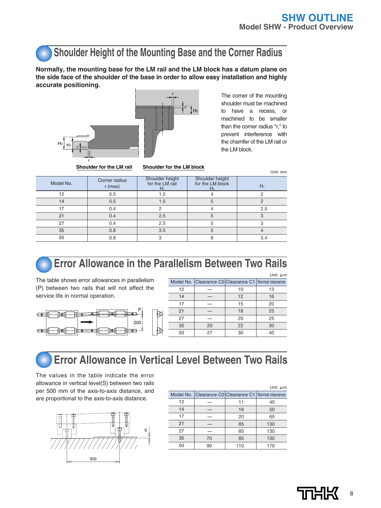# **Shoulder Height of the Mounting Base and the Corner Radius**

**Normally, the mounting base for the LM rail and the LM block has a datum plane on the side face of the shoulder of the base in order to allow easy installation and highly accurate positioning.**



The corner of the mounting shoulder must be machined to have a recess, or machined to be smaller than the corner radius "r," to prevent interference with the chamfer of the LM rail or the LM block.

Unit: mm

Unit: μm

**Shoulder for the LM rail Shoulder for the LM block**

 $\overline{\phantom{a}}\phantom{a}$ f $\phantom{a}$ H<sub>2</sub>

| Model No. | Corner radius<br>$r$ (max) | Shoulder height<br>for the LM rail | Shoulder height<br>for the LM block<br>H2 | $H_3$ |
|-----------|----------------------------|------------------------------------|-------------------------------------------|-------|
| 12        | 0.5                        | 1.5                                |                                           |       |
| 14        | 0.5                        | 1.5                                |                                           |       |
|           | 0.4                        |                                    |                                           | 2.5   |
| 21        | 0.4                        | 2.5                                |                                           |       |
| 27        | 0.4                        | 2.5                                |                                           |       |
| 35        | 0.8                        | 3.5                                |                                           |       |
| 50        | 0.8                        |                                    |                                           |       |

# **Error Allowance in the Parallelism Between Two Rails**

The table shows error allowances in parallelism (P) between two rails that will not affect the service life in normal operation.



|    |    |                                                      | $OHIL$ $\mu$ <sub>III</sub> |
|----|----|------------------------------------------------------|-----------------------------|
|    |    | Model No. Clearance C0 Clearance C1 Normal clearance |                             |
| 12 |    | 10                                                   | 13                          |
| 14 |    | 12                                                   | 16                          |
| 17 |    | 15                                                   | 20                          |
| 21 |    | 18                                                   | 25                          |
| 27 |    | 20                                                   | 25                          |
| 35 | 20 | 22                                                   | 30                          |
| 50 | 27 | 30                                                   | 40                          |

# **Error Allowance in Vertical Level Between Two Rails**

The values in the table indicate the error allowance in vertical level(S) between two rails per 500 mm of the axis-to-axis distance, and are proportional to the axis-to-axis distance.



|    |                                                      |     | Unit: $\mu$ m |  |  |
|----|------------------------------------------------------|-----|---------------|--|--|
|    | Model No. Clearance C0 Clearance C1 Normal clearance |     |               |  |  |
| 12 |                                                      | 11  | 40            |  |  |
| 14 |                                                      | 16  | 50            |  |  |
| 17 |                                                      | 20  | 65            |  |  |
| 21 |                                                      | 85  | 130           |  |  |
| 27 |                                                      | 85  | 130           |  |  |
| 35 | 70                                                   | 85  | 130           |  |  |
| 50 | 90                                                   | 110 | 170           |  |  |
|    |                                                      |     |               |  |  |

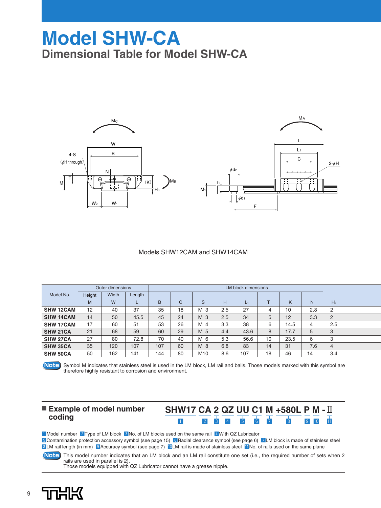# **Model SHW-CA Dimensional Table for Model SHW-CA**





#### Models SHW12CAM and SHW14CAM

|                  |        | Outer dimensions |        |     |    |                 |     |      |    |      |     |                |
|------------------|--------|------------------|--------|-----|----|-----------------|-----|------|----|------|-----|----------------|
| Model No.        | Height | Width            | Length |     |    |                 |     |      |    |      |     |                |
|                  | M      | W                |        | B   | C  | S               | H   | L1   |    | K    | N   | $H_3$          |
| <b>SHW 12CAM</b> | 12     | 40               | 37     | 35  | 18 | M 3             | 2.5 | 27   | 4  | 10   | 2.8 | $\overline{2}$ |
| <b>SHW 14CAM</b> | 14     | 50               | 45.5   | 45  | 24 | M 3             | 2.5 | 34   | 5  | 12   | 3.3 | $\overline{2}$ |
| <b>SHW 17CAM</b> | 17     | 60               | 51     | 53  | 26 | M 4             | 3.3 | 38   | 6  | 14.5 | 4   | 2.5            |
| <b>SHW 21CA</b>  | 21     | 68               | 59     | 60  | 29 | M 5             | 4.4 | 43.6 | 8  | 17.7 | 5   | 3              |
| <b>SHW 27CA</b>  | 27     | 80               | 72.8   | 70  | 40 | M 6             | 5.3 | 56.6 | 10 | 23.5 | 6   | 3              |
| <b>SHW 35CA</b>  | 35     | 120              | 107    | 107 | 60 | M 8             | 6.8 | 83   | 14 | 31   | 7.6 | $\overline{4}$ |
| <b>SHW 50CA</b>  | 50     | 162              | 141    | 144 | 80 | M <sub>10</sub> | 8.6 | 107  | 18 | 46   | 14  | 3.4            |



**Note** Symbol M indicates that stainless steel is used in the LM block, LM rail and balls. Those models marked with this symbol are therefore highly resistant to corrosion and environment.

### ■ **Example of model number coding**

#### **10 10 11 10 11 SHW17 CA 2 QZ UU C1 M +580L P M -**Ⅱ z x c v b n

1 Model number 2 Type of LM block 3 No. of LM blocks used on the same rail 4 With QZ Lubricator **B** Contamination protection accessory symbol (see page 15) **6** Radial clearance symbol (see page 6) **7** LM block is made of stainless steel **8LM rail length (in mm) <sup>8</sup>** Accuracy symbol (see page 7) **10LM** rail is made of stainless steel **11**No. of rails used on the same plane

**Note** This model number indicates that an LM block and an LM rail constitute one set (i.e., the required number of sets when 2 rails are used in parallel is 2).

Those models equipped with QZ Lubricator cannot have a grease nipple.

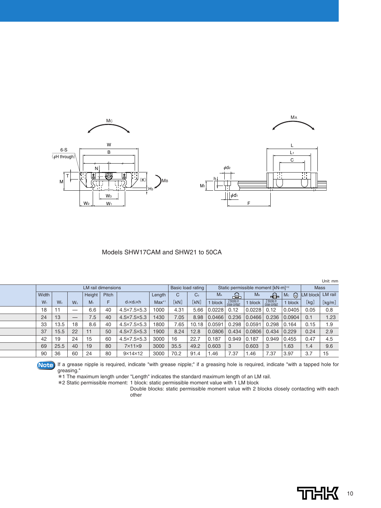

#### Models SHW17CAM and SHW21 to 50CA

|  |       |       |       |                           |              |                             |            |      |                                     |                |                              |                                    |                              |         |             | Unit: mm |
|--|-------|-------|-------|---------------------------|--------------|-----------------------------|------------|------|-------------------------------------|----------------|------------------------------|------------------------------------|------------------------------|---------|-------------|----------|
|  |       |       |       | <b>LM</b> rail dimensions |              |                             |            |      | Basic load rating                   |                |                              | Static permissible moment [kN-m]*2 |                              |         | <b>Mass</b> |          |
|  | Width |       |       | Height                    | <b>Pitch</b> |                             | Length     | C    | C <sub>0</sub>                      | M <sub>A</sub> | 合                            | M <sub>B</sub>                     | €                            | ଳ<br>Mc | LM block    | LM rail  |
|  | $W_1$ | $W_2$ | $W_3$ | M <sub>1</sub>            |              | $d_1 \times d_2 \times h$   | $Max^{*1}$ | [KN] | $\left[\mathsf{k}\mathsf{N}\right]$ | block          | 2 blocks in<br>close contact | block                              | 2 blocks in<br>close contact | 1 block | [kg]        | [kg/m]   |
|  | 18    | 11    | –     | 6.6                       | 40           | $4.5 \times 7.5 \times 5.3$ | 1000       | 4.31 | 5.66                                | 0.0228         | 0.12                         | 0.0228                             | 0.12                         | 0.0405  | 0.05        | 0.8      |
|  | 24    | 13    |       | 7.5                       | 40           | $4.5 \times 7.5 \times 5.3$ | 1430       | 7.05 | 8.98                                | 0.0466         | 0.236                        | 0.0466                             | 0.236                        | 0.0904  | 0.1         | 1.23     |
|  | 33    | 13.5  | 18    | 8.6                       | 40           | $4.5 \times 7.5 \times 5.3$ | 1800       | 7.65 | 10.18                               | 0.0591         | 0.298                        | 0.0591                             | 0.298                        | 0.164   | 0.15        | 1.9      |
|  | 37    | 15.5  | 22    | 11                        | 50           | $4.5 \times 7.5 \times 5.3$ | 1900       | 8.24 | 12.8                                | 0.0806         | 0.434                        | 0.0806                             | 0.434                        | 0.229   | 0.24        | 2.9      |
|  | 42    | 19    | 24    | 15                        | 60           | $4.5 \times 7.5 \times 5.3$ | 3000       | 16   | 22.7                                | 0.187          | 0.949                        | 0.187                              | 0.949                        | 0.455   | 0.47        | 4.5      |
|  | 69    | 25.5  | 40    | 19                        | 80           | $7\times11\times9$          | 3000       | 35.5 | 49.2                                | 0.603          | 3                            | 0.603                              | 3                            | 1.63    | 1.4         | 9.6      |
|  | 90    | 36    | 60    | 24                        | 80           | $9\times14\times12$         | 3000       | 70.2 | 91.4                                | 1.46           | 7.37                         | 1.46                               | 7.37                         | 3.97    | 3.7         | 15       |
|  |       |       |       |                           |              |                             |            |      |                                     |                |                              |                                    |                              |         |             |          |

**Note** If a grease nipple is required, indicate "with grease nipple;" if a greasing hole is required, indicate "with a tapped hole for greasing."

\*1 The maximum length under "Length" indicates the standard maximum length of an LM rail.

\*2 Static permissible moment: 1 block: static permissible moment value with 1 LM block

Double blocks: static permissible moment value with 2 blocks closely contacting with each other

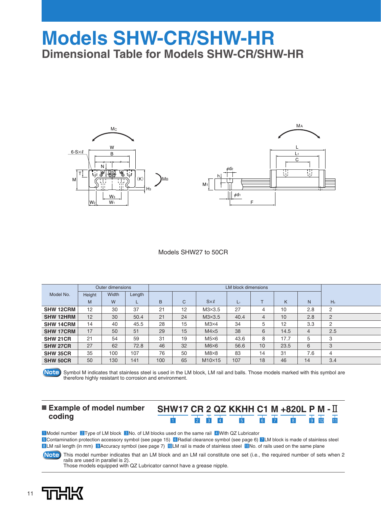# **Models SHW-CR/SHW-HR Dimensional Table for Models SHW-CR/SHW-HR**





#### Models SHW27 to 50CR

|                  |        | Outer dimensions |        |     |    |                 | <b>LM block dimensions</b> |    |      |                |                |
|------------------|--------|------------------|--------|-----|----|-----------------|----------------------------|----|------|----------------|----------------|
| Model No.        | Height | Width            | Length |     |    |                 |                            |    |      |                |                |
|                  | M      | W                |        | B   | C  | $S \times \ell$ | L١                         |    | K    | N              | $H_3$          |
| <b>SHW 12CRM</b> | 12     | 30               | 37     | 21  | 12 | $M3\times3.5$   | 27                         | 4  | 10   | 2.8            | 2              |
| <b>SHW 12HRM</b> | 12     | 30               | 50.4   | 21  | 24 | $M3\times3.5$   | 40.4                       | 4  | 10   | 2.8            | $\overline{2}$ |
| <b>SHW 14CRM</b> | 14     | 40               | 45.5   | 28  | 15 | $M3\times4$     | 34                         | 5  | 12   | 3.3            | 2              |
| <b>SHW 17CRM</b> | 17     | 50               | 51     | 29  | 15 | $M4\times5$     | 38                         | 6  | 14.5 | $\overline{4}$ | 2.5            |
| SHW 21CR         | 21     | 54               | 59     | 31  | 19 | $M5\times 6$    | 43.6                       | 8  | 17.7 | 5              | 3              |
| <b>SHW 27CR</b>  | 27     | 62               | 72.8   | 46  | 32 | $M6\times 6$    | 56.6                       | 10 | 23.5 | 6              | 3              |
| <b>SHW 35CR</b>  | 35     | 100              | 107    | 76  | 50 | $M8\times8$     | 83                         | 14 | 31   | 7.6            | 4              |
| <b>SHW 50CR</b>  | 50     | 130              | 141    | 100 | 65 | $M10\times15$   | 107                        | 18 | 46   | 14             | 3.4            |

**Note** Symbol M indicates that stainless steel is used in the LM block, LM rail and balls. Those models marked with this symbol are therefore highly resistant to corrosion and environment.

#### ■ **Example of model number coding**

#### **SHW17 CR 2 QZ KKHH C1 M +820L P M -**Ⅱ z x c v b n m , .  $10$   $11$

**I** Model number 2 Type of LM block **C** No. of LM blocks used on the same rail <sup>2</sup> With QZ Lubricator 5 Contamination protection accessory symbol (see page 15) 6 Radial clearance symbol (see page 6) 7 LM block is made of stainless steel 8LM rail length (in mm) <sup>8</sup>Accuracy symbol (see page 7) <sup>10</sup>LM rail is made of stainless steel **III**No. of rails used on the same plane

**Note** This model number indicates that an LM block and an LM rail constitute one set (i.e., the required number of sets when 2 rails are used in parallel is 2).

Those models equipped with QZ Lubricator cannot have a grease nipple.

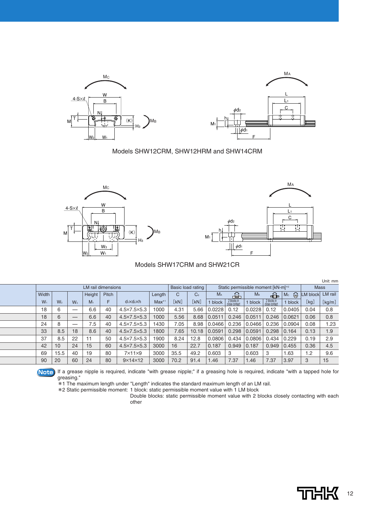



Models SHW12CRM, SHW12HRM and SHW14CRM



Models SHW17CRM and SHW21CR

|                           |                |                   |                |       |                             |            |      |                   |                |                              |         |                              |                                                   |          | Unit: mm |
|---------------------------|----------------|-------------------|----------------|-------|-----------------------------|------------|------|-------------------|----------------|------------------------------|---------|------------------------------|---------------------------------------------------|----------|----------|
| <b>LM</b> rail dimensions |                |                   |                |       |                             |            |      | Basic load rating |                |                              |         |                              | Static permissible moment [kN-m]*2<br><b>Mass</b> |          |          |
| Width                     |                |                   | Height         | Pitch |                             | Length     | C    | C <sub>0</sub>    | M <sub>A</sub> | ക                            | $M_{B}$ | €                            | ଳ<br>Mc                                           | LM block | LM rail  |
| $W_1$                     | W <sub>2</sub> | $W_3$             | M <sub>1</sub> | F     | $d_1 \times d_2 \times h$   | $Max^{*1}$ | 「kN] | [kN]              | block          | 2 blocks in<br>close contact | block   | 2 blocks in<br>close contact | 1 block                                           | [kg]     | [kg/m]   |
| 18                        | 6              |                   | 6.6            | 40    | 4.5×7.5×5.3                 | 1000       | 4.31 | 5.66              | 0.0228         | 0.12                         | 0.0228  | 0.12                         | 0.0405                                            | 0.04     | 0.8      |
| 18                        | 6              | $\hspace{0.05cm}$ | 6.6            | 40    | $4.5 \times 7.5 \times 5.3$ | 1000       | 5.56 | 8.68              | 0.0511         | 0.246                        | 0.0511  | 0.246                        | 0.0621                                            | 0.06     | 0.8      |
| 24                        | 8              |                   | 7.5            | 40    | $4.5 \times 7.5 \times 5.3$ | 1430       | 7.05 | 8.98              | 0.0466         | 0.236                        | 0.0466  | 0.236                        | 0.0904                                            | 0.08     | 1.23     |
| 33                        | 8.5            | 18                | 8.6            | 40    | $4.5 \times 7.5 \times 5.3$ | 1800       | 7.65 | 10.18             | 0.0591         | 0.298                        | 0.0591  | 0.298                        | 0.164                                             | 0.13     | 1.9      |
| 37                        | 8.5            | 22                | 1              | 50    | $4.5\times7.5\times5.3$     | 900        | 8.24 | 12.8              | 0.0806         | 0.434                        | 0.0806  | 0.434                        | 0.229                                             | 0.19     | 2.9      |
| 42                        | 10             | 24                | 15             | 60    | $4.5 \times 7.5 \times 5.3$ | 3000       | 16   | 22.7              | 0.187          | 0.949                        | 0.187   | 0.949                        | 0.455                                             | 0.36     | 4.5      |
| 69                        | 15.5           | 40                | 19             | 80    | $7\times11\times9$          | 3000       | 35.5 | 49.2              | 0.603          | 3                            | 0.603   | 3                            | .63                                               | 1.2      | 9.6      |
| 90                        | 20             | 60                | 24             | 80    | $9\times14\times12$         | 3000       | 70.2 | 91.4              | 1.46           | 7.37                         | 1.46    | 7.37                         | 3.97                                              | 3        | 15       |

 $\overline{a}$ 

 $\overline{\phantom{a}}$ 

**Note** If a grease nipple is required, indicate "with grease nipple;" if a greasing hole is required, indicate "with a tapped hole for greasing."

\*1 The maximum length under "Length" indicates the standard maximum length of an LM rail.

\*2 Static permissible moment: 1 block: static permissible moment value with 1 LM block

Double blocks: static permissible moment value with 2 blocks closely contacting with each other

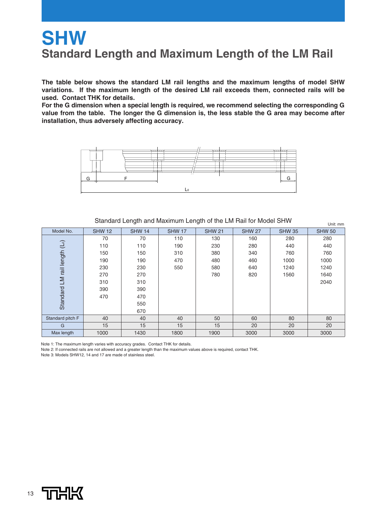# **SHW Standard Length and Maximum Length of the LM Rail**

**The table below shows the standard LM rail lengths and the maximum lengths of model SHW variations. If the maximum length of the desired LM rail exceeds them, connected rails will be used. Contact THK for details.**

**For the G dimension when a special length is required, we recommend selecting the corresponding G value from the table. The longer the G dimension is, the less stable the G area may become after installation, thus adversely affecting accuracy.**



| Model No.                            | <b>SHW 12</b> | <b>SHW 14</b> | <b>SHW 17</b> | <b>SHW 21</b> | <b>SHW 27</b> | <b>SHW 35</b> | UIII. IIIII<br><b>SHW 50</b> |
|--------------------------------------|---------------|---------------|---------------|---------------|---------------|---------------|------------------------------|
|                                      | 70            | 70            | 110           | 130           | 160           | 280           | 280                          |
| $\left(\bigcup_{i=1}^{n} a_i\right)$ | 110           | 110           | 190           | 230           | 280           | 440           | 440                          |
|                                      | 150           | 150           | 310           | 380           | 340           | 760           | 760                          |
| rail length                          | 190           | 190           | 470           | 480           | 460           | 1000          | 1000                         |
|                                      | 230           | 230           | 550           | 580           | 640           | 1240          | 1240                         |
|                                      | 270           | 270           |               | 780           | 820           | 1560          | 1640                         |
| $\geq$                               | 310           | 310           |               |               |               |               | 2040                         |
|                                      | 390           | 390           |               |               |               |               |                              |
| Standard                             | 470           | 470           |               |               |               |               |                              |
|                                      |               | 550           |               |               |               |               |                              |
|                                      |               | 670           |               |               |               |               |                              |
| Standard pitch F                     | 40            | 40            | 40            | 50            | 60            | 80            | 80                           |
| G                                    | 15            | 15            | 15            | 15            | 20            | 20            | 20                           |
| Max length                           | 1000          | 1430          | 1800          | 1900          | 3000          | 3000          | 3000                         |

Standard Length and Maximum Length of the LM Rail for Model SHW

Note 1: The maximum length varies with accuracy grades. Contact THK for details.

Note 2: If connected rails are not allowed and a greater length than the maximum values above is required, contact THK.

Note 3: Models SHW12, 14 and 17 are made of stainless steel.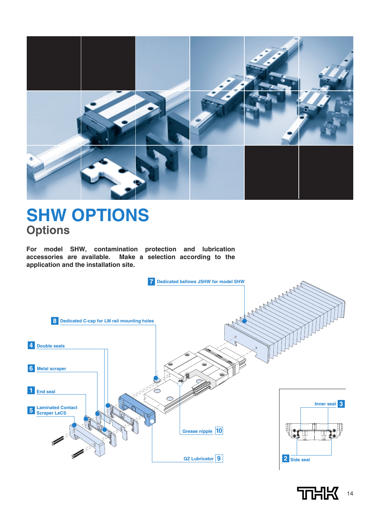

# **SHW OPTIONS Options**

**For model SHW, contamination protection and lubrication accessories are available. Make a selection according to the application and the installation site.**



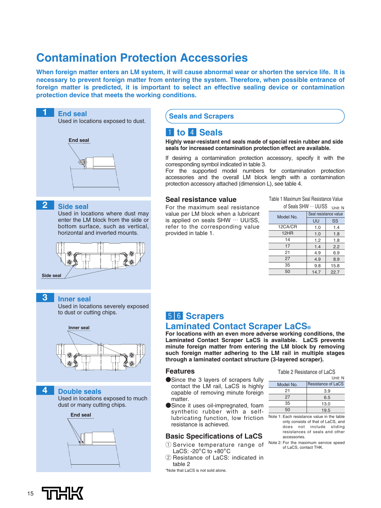# **Contamination Protection Accessories**

**When foreign matter enters an LM system, it will cause abnormal wear or shorten the service life. It is necessary to prevent foreign matter from entering the system. Therefore, when possible entrance of foreign matter is predicted, it is important to select an effective sealing device or contamination protection device that meets the working conditions.**



**Highly wear-resistant end seals made of special resin rubber and side seals for increased contamination protection effect are available.**

If desiring a contamination protection accessory, specify it with the corresponding symbol indicated in table 3.

For the supported model numbers for contamination protection accessories and the overall LM block length with a contamination protection accessory attached (dimension L), see table 4.

For the maximum seal resistance value per LM block when a lubricant is applied on seals SHW … UU/SS, refer to the corresponding value

Table 1 Maximum Seal Resistance Value

| of Seals SHW … UU/SS<br>Unit: N |                       |      |  |  |  |  |
|---------------------------------|-----------------------|------|--|--|--|--|
| Model No.                       | Seal resistance value |      |  |  |  |  |
|                                 | UU                    | SS   |  |  |  |  |
| 12CA/CR                         | 1.0                   | 1.4  |  |  |  |  |
| 12HR                            | 1.0                   | 1.8  |  |  |  |  |
| 14                              | 1.2                   | 1.8  |  |  |  |  |
| 17                              | 1.4                   | 2.2  |  |  |  |  |
| 21                              | 4.9                   | 6.9  |  |  |  |  |
| 27                              | 4.9                   | 8.9  |  |  |  |  |
| 35                              | 9.8                   | 15.8 |  |  |  |  |
| 50                              | 14.7                  | 22.7 |  |  |  |  |

# **Laminated Contact Scraper LaCS®**

**For locations with an even more adverse working conditions, the Laminated Contact Scraper LaCS is available. LaCS prevents minute foreign matter from entering the LM block by removing such foreign matter adhering to the LM rail in multiple stages through a laminated contact structure (3-layered scraper).**

- ●Since the 3 layers of scrapers fully contact the LM rail, LaCS is highly capable of removing minute foreign
- lubricating function, low friction  $\frac{\text{Note 1: Each resistance value in the table}}{\text{enlu consist of the file C. and the table}}$ ●Since it uses oil-impregnated, foam synthetic rubber with a self-

#### **Basic Specifications of LaCS**

- 1 Service temperature range of
- 2 Resistance of LaCS: indicated in

#### Table 2 Resistance of LaCS

|           | Unit: N            |
|-----------|--------------------|
| Model No. | Resistance of LaCS |
| 21        | 3.9                |
| 27        | 6.5                |
| 35        | 13.0               |
| 50        | 19.5               |

- only consists of that of LaCS, and does not include sliding resistances of seals and other accessories.
- Note 2: For the maximum service speed of LaCS, contact THK.

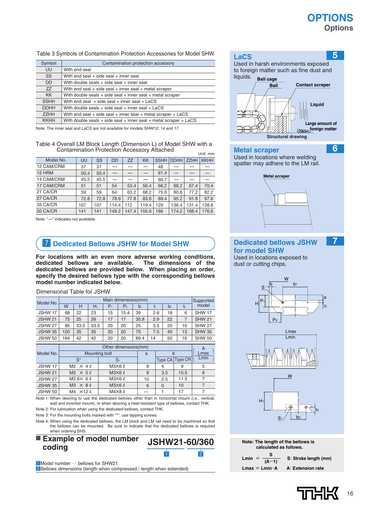### **OPTIONS Options**

#### Table 3 Symbols of Contamination Protection Accessories for Model SHW

| Symbol      | Contamination protection accessory                                        |
|-------------|---------------------------------------------------------------------------|
| UU.         | With end seal                                                             |
| <b>SS</b>   | With end seal + side seal + inner seal                                    |
| DD.         | With double seals $+$ side seal $+$ inner seal                            |
| ZZ          | With end seal $+$ side seal $+$ inner seal $+$ metal scraper              |
| KK.         | With double seals $+$ side seal $+$ inner seal $+$ metal scraper          |
| <b>SSHH</b> | With end seal $+$ side seal $+$ inner seal $+$ LaCS                       |
| <b>DDHH</b> | With double seals $+$ side seal $+$ inner seal $+$ LaCS                   |
| <b>ZZHH</b> | With end seal $+$ side seal $+$ inner seal $+$ metal scraper $+$ LaCS     |
| <b>KKHH</b> | With double seals $+$ side seal $+$ inner seal $+$ metal scraper $+$ LaCS |

Note: The inner seal and LaCS are not available for models SHW12, 14 and 17.

#### Table 4 Overall LM Block Length (Dimension L) of Model SHW with a Contamination Protection Accessory Attached Unit: mm

| Model No.  | UU   | SS   | DD    | ZZ    | <b>KK</b> | <b>SSHH</b> | <b>DDHH</b> | <b>ZZHH</b> | <b>KKHH</b> |
|------------|------|------|-------|-------|-----------|-------------|-------------|-------------|-------------|
| 12 CAM/CRM | 37   | 37   |       |       |           | 48          |             |             |             |
| 12 HRM     | 50.4 | 50.4 |       |       |           | 61.4        |             |             |             |
| 14 CAM/CRM | 45.5 | 45.5 |       |       |           | 60.7        |             |             |             |
| 17 CAM/CRM | 51   | 51   | 54    | 53.4  | 56.4      | 66.2        | 69.2        | 67.4        | 70.4        |
| 21 CA/CR   | 59   | 59   | 64    | 63.2  | 68.2      | 75.6        | 80.6        | 77.2        | 82.2        |
| 27 CA/CR   | 72.8 | 72.8 | 78.6  | 77.8  | 83.6      | 89.4        | 95.2        | 91.8        | 97.6        |
| 35 CA/CR   | 107  | 107  | 114.4 | 112   | 119.4     | 129         | 136.4       | 131.4       | 138.8       |
| 50 CA/CR   | 141  | 141  | 149.2 | 147.4 | 155.6     | 166         | 174.2       | 168.4       | 176.6       |

Note: "—" indicates not available.

#### **Z** Dedicated Bellows JSHW for Model SHW

**For locations with an even more adverse working conditions,** dedicated bellows are available. **dedicated bellows are provided below. When placing an order, specify the desired bellows type with the corresponding bellows model number indicated below.**

| Dimensional Table for JSHW |  |  |
|----------------------------|--|--|
|----------------------------|--|--|

| Model No.          |     | Supported |      |                |         |       |     |                |                |               |
|--------------------|-----|-----------|------|----------------|---------|-------|-----|----------------|----------------|---------------|
|                    | W   |           | н.   | P <sub>1</sub> | $P_{2}$ | $b_1$ | t.  | b <sub>2</sub> | t <sub>2</sub> | model         |
| JSHW 17            | 68  | 22        | 23   | 15             | 15.4    | 39    | 2.6 | 18             | 6              | <b>SHW 17</b> |
| <b>JSHW 21</b>     | 75  | 25        | 26   | 17             | 17      | 35.8  | 2.9 | 22             |                | <b>SHW 21</b> |
| JSHW 27            | 85  | 33.5      | 33.5 | 20             | 20      | 25    | 3.5 | 20             | 10             | <b>SHW 27</b> |
| <b>JSHW 35</b>     | 120 | 35        | 35   | 20             | 20      | 75    | 7.5 | 40             | 13             | <b>SHW 35</b> |
| JSHW <sub>50</sub> | 164 | 42        | 42   | 20             | 20      | 89.4  | 14  | 50             | 16             | <b>SHW 50</b> |

|                | Other dimensions (mm) |                      |    |      |                 |      |  |
|----------------|-----------------------|----------------------|----|------|-----------------|------|--|
| Model No.      | Mounting bolt         | a                    |    | Lmax |                 |      |  |
|                | $S^*$                 |                      |    |      | Type CA Type CR | Lmin |  |
| JSHW 17        | $M2 \times 4\ell$     | $M3X6 \ell$          | 8  |      |                 | 5    |  |
| <b>JSHW 21</b> | $M2 \times 5\ell$     | $M3X6 \ell$          | 8  | 3.5  | 10.5            | 6    |  |
| JSHW 27        | $M2.6X$ 6 $\ell$      | $M3X6 \ell$          | 10 | 2.5  | 11.5            |      |  |
| JSHW 35        | $M3 \times 8\ell$     | $M3X6 \ell$          | 6  |      | 10              |      |  |
| JSHW 50        | M4 ×12 l              | M4 $\times$ 8 $\ell$ |    |      | 17              |      |  |

Note 1: When desiring to use the dedicated bellows other than in horizontal mount (i.e., vertical, wall and inverted mount), or when desiring a heat-resistant type of bellows, contact THK.

Note 2: For lubrication when using the dedicated bellows, contact THK.

Note 3: For the mounting bolts marked with "\*", use tapping screws.

Note 4: When using the dedicated bellows, the LM block and LM rail need to be machined so that the bellows can be mounted. Be sure to indicate that the dedicated bellows is required

 $\boxed{1}$   $\boxed{2}$ 

**JSHW21-60/360** when ordering SHS.

### ■ **Example of model number coding**

 $1$  Model number  $\cdots$  bellows for SHW21 2 Bellows dimensions (length when compressed / length when extended)

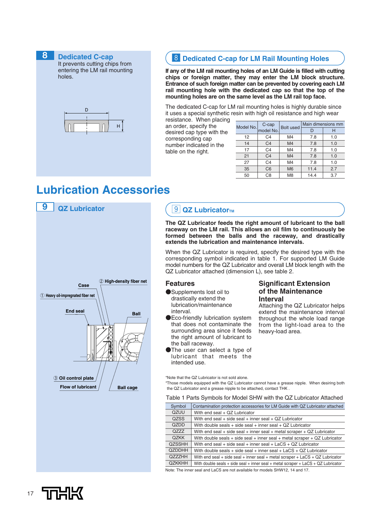

### , **Dedicated C-cap for LM Rail Mounting Holes**

**If any of the LM rail mounting holes of an LM Guide is filled with cutting chips or foreign matter, they may enter the LM block structure. Entrance of such foreign matter can be prevented by covering each LM rail mounting hole with the dedicated cap so that the top of the mounting holes are on the same level as the LM rail top face.**

The dedicated C-cap for LM rail mounting holes is highly durable since it uses a special synthetic resin with high oil resistance and high wear

resistance. When placing an order, specify the desired cap type with the corresponding cap number indicated in the table on the right.

| Model No. | C-cap          | <b>Bolt used</b> | Main dimensions mm |     |  |  |
|-----------|----------------|------------------|--------------------|-----|--|--|
|           | model No.      |                  |                    |     |  |  |
| 12        | C <sub>4</sub> | M <sub>4</sub>   | 7.8                | 1.0 |  |  |
| 14        | C <sub>4</sub> | M <sub>4</sub>   | 7.8                | 1.0 |  |  |
| 17        | C <sub>4</sub> | M4               | 7.8                | 1.0 |  |  |
| 21        | C <sub>4</sub> | M <sub>4</sub>   | 7.8                | 1.0 |  |  |
| 27        | C <sub>4</sub> | M4               | 7.8                | 1.0 |  |  |
| 35        | C <sub>6</sub> | M <sub>6</sub>   | 11.4               | 2.7 |  |  |
| 50        | C <sub>8</sub> | M <sub>8</sub>   | 14.4               | 3.7 |  |  |

**Significant Extension of the Maintenance**

Attaching the QZ Lubricator helps extend the maintenance interval throughout the whole load range from the light-load area to the

# **Lubrication Accessories**



### **9 QZ LubricatorTM**

**The QZ Lubricator feeds the right amount of lubricant to the ball raceway on the LM rail. This allows an oil film to continuously be formed between the balls and the raceway, and drastically extends the lubrication and maintenance intervals.**

When the QZ Lubricator is required, specify the desired type with the corresponding symbol indicated in table 1. For supported LM Guide model numbers for the QZ Lubricator and overall LM block length with the QZ Lubricator attached (dimension L), see table 2.

**Interval**

heavy-load area.

#### **Features**

- ●Supplements lost oil to drastically extend the lubrication/maintenance interval.
- **Eco-friendly lubrication system** that does not contaminate the surrounding area since it feeds the right amount of lubricant to the ball raceway.
- ●The user can select a type of lubricant that meets the intended use.

\*Note that the QZ Lubricator is not sold alone.

\*Those models equipped with the QZ Lubricator cannot have a grease nipple. When desiring both the QZ Lubricator and a grease nipple to be attached, contact THK .

#### Table 1 Parts Symbols for Model SHW with the QZ Lubricator Attached

| Symbol        | Contamination protection accessories for LM Guide with QZ Lubricator attached               |
|---------------|---------------------------------------------------------------------------------------------|
| QZUU          | With end seal + QZ Lubricator                                                               |
| <b>QZSS</b>   | With end seal + side seal + inner seal + $QZ$ Lubricator                                    |
| QZDD          | With double seals $+$ side seal $+$ inner seal $+$ QZ Lubricator                            |
| QZZZ          | With end seal + side seal + inner seal + metal scraper + $QZ$ Lubricator                    |
| <b>QZKK</b>   | With double seals $+$ side seal $+$ inner seal $+$ metal scraper $+$ QZ Lubricator          |
| <b>QZSSHH</b> | With end seal + side seal + inner seal + $LaCS + QZ$ Lubricator                             |
| <b>QZDDHH</b> | With double seals $+$ side seal $+$ inner seal $+$ LaCS $+$ QZ Lubricator                   |
| <b>QZZZHH</b> | With end seal + side seal + inner seal + metal scraper + LaCS + QZ Lubricator               |
| <b>QZKKHH</b> | With double seals $+$ side seal $+$ inner seal $+$ metal scraper $+$ LaCS $+$ QZ Lubricator |
|               |                                                                                             |

Note: The inner seal and LaCS are not available for models SHW12, 14 and 17.

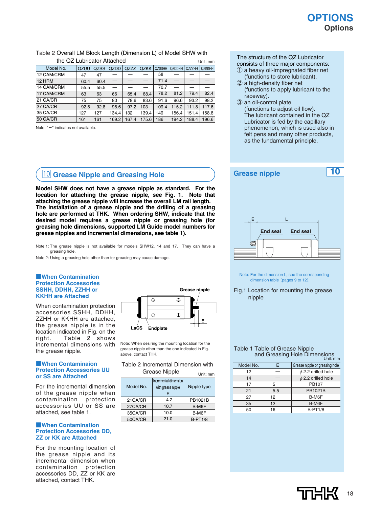## **OPTIONS Options**

| the QZ Lubricator Attached |      |             |       |       |             |               |               |               | Unit: mm      |
|----------------------------|------|-------------|-------|-------|-------------|---------------|---------------|---------------|---------------|
| Model No.                  | QZUU | <b>QZSS</b> | QZDD  | QZZZ  | <b>QZKK</b> | <b>QZSSHH</b> | <b>QZDDHH</b> | <b>QZZZHH</b> | <b>QZKKHH</b> |
| 12 CAM/CRM                 | 47   | 47          |       |       |             | 58            |               |               |               |
| 12 HRM                     | 60.4 | 60.4        |       |       |             | 71.4          |               |               |               |
| 14 CAM/CRM                 | 55.5 | 55.5        |       |       |             | 70.7          |               |               |               |
| 17 CAM/CRM                 | 63   | 63          | 66    | 65.4  | 68.4        | 78.2          | 81.2          | 79.4          | 82.4          |
| 21 CA/CR                   | 75   | 75          | 80    | 78.6  | 83.6        | 91.6          | 96.6          | 93.2          | 98.2          |
| 27 CA/CR                   | 92.8 | 92.8        | 98.6  | 97.2  | 103         | 109.4         | 115.2         | 111.8         | 117.6         |
| 35 CA/CR                   | 127  | 127         | 134.4 | 132   | 139.4       | 149           | 156.4         | 151.4         | 158.8         |
| 50 CA/CR                   | 161  | 161         | 169.2 | 167.4 | 175.6       | 186           | 194.2         | 188.4         | 196.6         |

#### Table 2 Overall LM Block Length (Dimension L) of Model SHW with the QZ Lubricator Attached

Note: "-" indicates not available.

### ⁄0**Grease Nipple and Greasing Hole**

**Model SHW does not have a grease nipple as standard. For the location for attaching the grease nipple, see Fig. 1. Note that attaching the grease nipple will increase the overall LM rail length. The installation of a grease nipple and the drilling of a greasing hole are performed at THK. When ordering SHW, indicate that the desired model requires a grease nipple or greasing hole (for greasing hole dimensions, supported LM Guide model numbers for grease nipples and incremental dimensions, see table 1).**

Note 1: The grease nipple is not available for models SHW12, 14 and 17. They can have a greasing hole.

Note 2: Using a greasing hole other than for greasing may cause damage.

#### ■**When Contamination Protection Accessories SSHH, DDHH, ZZHH or KKHH are Attached**

When contamination protection accessories SSHH, DDHH, ZZHH or KKHH are attached, the grease nipple is in the location indicated in Fig. on the right. Table 2 shows incremental dimensions with the grease nipple.

#### ■**When Contaminaion Protection Accessories UU or SS are Attached**

For the incremental dimension of the grease nipple when contamination protection accessories UU or SS are attached, see table 1.

#### ■**When Contamination Protection Accessories DD, ZZ or KK are Attached**

For the mounting location of the grease nipple and its incremental dimension when contamination protection accessories DD, ZZ or KK are attached, contact THK.



Note: When desiring the mounting location for the grease nipple other than the one indicated in Fig. above, contact THK.

#### Table 2 Incremental Dimension with

Unit: mm

Grease Nipple

| Model No. | Incremental dimension<br>with grease nipple<br>F | Nipple type    |
|-----------|--------------------------------------------------|----------------|
| 21CA/CR   | 42                                               | PB1021B        |
| 27CA/CR   | 10.7                                             | B-M6F          |
| 35CA/CR   | 10.0                                             | B-M6F          |
| 50CA/CR   | 21.0                                             | <b>B-PT1/8</b> |

#### The structure of the QZ Lubricator

consists of three major components: ① a heavy oil-impregnated fiber net

- (functions to store lubricant). ② a high-density fiber net
- (functions to apply lubricant to the raceway).
- ③ an oil-control plate (functions to adjust oil flow). The lubricant contained in the QZ Lubricator is fed by the capillary phenomenon, which is used also in felt pens and many other products, as the fundamental principle.

### **Grease nipple 10**



Note: For the dimension L, see the corresponding dimension table (pages  $9$  to  $12$ ).

Fig.1 Location for mounting the grease nipple

#### Table 1 Table of Grease Nipple and Greasing Hole Dimensions

|           |     | Unit: mm                       |
|-----------|-----|--------------------------------|
| Model No. | Е   | Grease nipple or greasing hole |
| 12        |     | $\phi$ 2.2 drilled hole        |
| 14        |     | $\phi$ 2.2 drilled hole        |
| 17        | 5   | <b>PB107</b>                   |
| 21        | 5.5 | PB1021B                        |
| 27        | 12  | B-M6F                          |
| 35        | 12  | B-M6F                          |
| 50        | 16  | <b>B-PT1/8</b>                 |